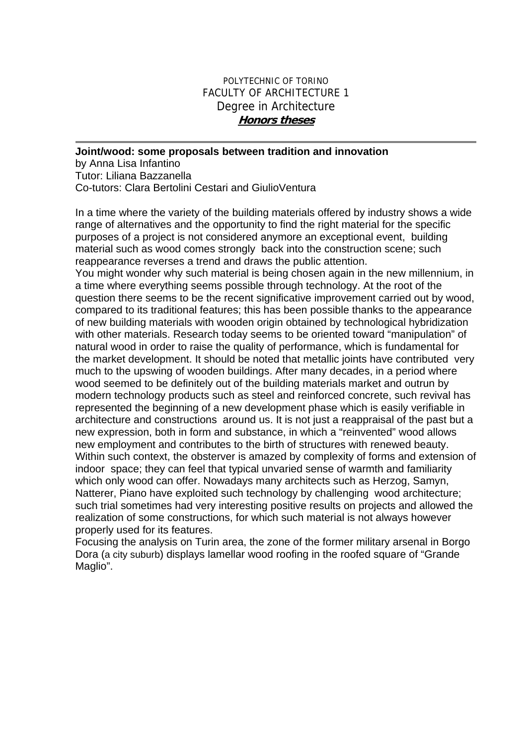## POLYTECHNIC OF TORINO FACULTY OF ARCHITECTURE 1 Degree in Architecture **Honors theses**

## **Joint/wood: some proposals between tradition and innovation**  by Anna Lisa Infantino Tutor: Liliana Bazzanella Co-tutors: Clara Bertolini Cestari and GiulioVentura

In a time where the variety of the building materials offered by industry shows a wide range of alternatives and the opportunity to find the right material for the specific purposes of a project is not considered anymore an exceptional event, building material such as wood comes strongly back into the construction scene; such reappearance reverses a trend and draws the public attention. You might wonder why such material is being chosen again in the new millennium, in a time where everything seems possible through technology. At the root of the question there seems to be the recent significative improvement carried out by wood, compared to its traditional features; this has been possible thanks to the appearance of new building materials with wooden origin obtained by technological hybridization with other materials. Research today seems to be oriented toward "manipulation" of natural wood in order to raise the quality of performance, which is fundamental for the market development. It should be noted that metallic joints have contributed very much to the upswing of wooden buildings. After many decades, in a period where wood seemed to be definitely out of the building materials market and outrun by modern technology products such as steel and reinforced concrete, such revival has represented the beginning of a new development phase which is easily verifiable in architecture and constructions around us. It is not just a reappraisal of the past but a new expression, both in form and substance, in which a "reinvented" wood allows new employment and contributes to the birth of structures with renewed beauty. Within such context, the obsterver is amazed by complexity of forms and extension of indoor space; they can feel that typical unvaried sense of warmth and familiarity which only wood can offer. Nowadays many architects such as Herzog, Samyn, Natterer, Piano have exploited such technology by challenging wood architecture; such trial sometimes had very interesting positive results on projects and allowed the realization of some constructions, for which such material is not always however properly used for its features.

Focusing the analysis on Turin area, the zone of the former military arsenal in Borgo Dora (a city suburb) displays lamellar wood roofing in the roofed square of "Grande Maglio".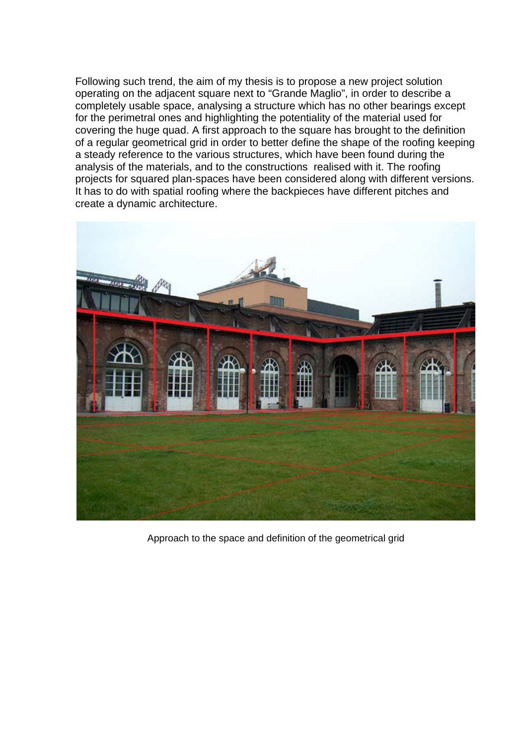Following such trend, the aim of my thesis is to propose a new project solution operating on the adjacent square next to "Grande Maglio", in order to describe a completely usable space, analysing a structure which has no other bearings except for the perimetral ones and highlighting the potentiality of the material used for covering the huge quad. A first approach to the square has brought to the definition of a regular geometrical grid in order to better define the shape of the roofing keeping a steady reference to the various structures, which have been found during the analysis of the materials, and to the constructions realised with it. The roofing projects for squared plan-spaces have been considered along with different versions. It has to do with spatial roofing where the backpieces have different pitches and create a dynamic architecture.



Approach to the space and definition of the geometrical grid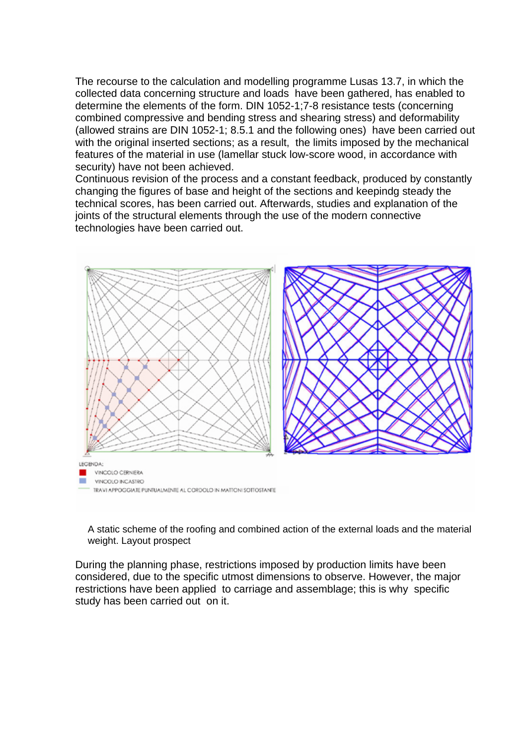The recourse to the calculation and modelling programme Lusas 13.7, in which the collected data concerning structure and loads have been gathered, has enabled to determine the elements of the form. DIN 1052-1;7-8 resistance tests (concerning combined compressive and bending stress and shearing stress) and deformability (allowed strains are DIN 1052-1; 8.5.1 and the following ones) have been carried out with the original inserted sections; as a result, the limits imposed by the mechanical features of the material in use (lamellar stuck low-score wood, in accordance with security) have not been achieved.

Continuous revision of the process and a constant feedback, produced by constantly changing the figures of base and height of the sections and keepindg steady the technical scores, has been carried out. Afterwards, studies and explanation of the joints of the structural elements through the use of the modern connective technologies have been carried out.



A static scheme of the roofing and combined action of the external loads and the material weight. Layout prospect

During the planning phase, restrictions imposed by production limits have been considered, due to the specific utmost dimensions to observe. However, the major restrictions have been applied to carriage and assemblage; this is why specific study has been carried out on it.